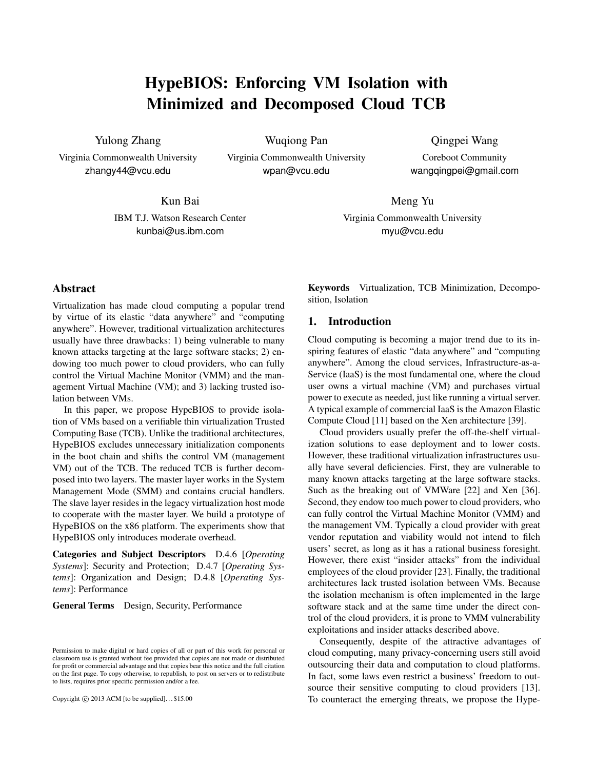# HypeBIOS: Enforcing VM Isolation with Minimized and Decomposed Cloud TCB

Yulong Zhang

Virginia Commonwealth University zhangy44@vcu.edu

Wuqiong Pan

Virginia Commonwealth University wpan@vcu.edu

Qingpei Wang Coreboot Community

wangqingpei@gmail.com

Kun Bai

IBM T.J. Watson Research Center kunbai@us.ibm.com

Meng Yu

Virginia Commonwealth University myu@vcu.edu

# Abstract

Virtualization has made cloud computing a popular trend by virtue of its elastic "data anywhere" and "computing anywhere". However, traditional virtualization architectures usually have three drawbacks: 1) being vulnerable to many known attacks targeting at the large software stacks; 2) endowing too much power to cloud providers, who can fully control the Virtual Machine Monitor (VMM) and the management Virtual Machine (VM); and 3) lacking trusted isolation between VMs.

In this paper, we propose HypeBIOS to provide isolation of VMs based on a verifiable thin virtualization Trusted Computing Base (TCB). Unlike the traditional architectures, HypeBIOS excludes unnecessary initialization components in the boot chain and shifts the control VM (management VM) out of the TCB. The reduced TCB is further decomposed into two layers. The master layer works in the System Management Mode (SMM) and contains crucial handlers. The slave layer resides in the legacy virtualization host mode to cooperate with the master layer. We build a prototype of HypeBIOS on the x86 platform. The experiments show that HypeBIOS only introduces moderate overhead.

Categories and Subject Descriptors D.4.6 [*Operating Systems*]: Security and Protection; D.4.7 [*Operating Systems*]: Organization and Design; D.4.8 [*Operating Systems*]: Performance

General Terms Design, Security, Performance

Copyright *⃝*c 2013 ACM [to be supplied]. . . \$15.00

Keywords Virtualization, TCB Minimization, Decomposition, Isolation

## 1. Introduction

Cloud computing is becoming a major trend due to its inspiring features of elastic "data anywhere" and "computing anywhere". Among the cloud services, Infrastructure-as-a-Service (IaaS) is the most fundamental one, where the cloud user owns a virtual machine (VM) and purchases virtual power to execute as needed, just like running a virtual server. A typical example of commercial IaaS is the Amazon Elastic Compute Cloud [11] based on the Xen architecture [39].

Cloud providers usually prefer the off-the-shelf virtualization solutions to ease deployment and to lower costs. However, these traditional virtualization infrastructures usually have several deficiencies. First, they are vulnerable to many known attacks targeting at the large software stacks. Such as the breaking out of VMWare [22] and Xen [36]. Second, they endow too much power to cloud providers, who can fully control the Virtual Machine Monitor (VMM) and the management VM. Typically a cloud provider with great vendor reputation and viability would not intend to filch users' secret, as long as it has a rational business foresight. However, there exist "insider attacks" from the individual employees of the cloud provider [23]. Finally, the traditional architectures lack trusted isolation between VMs. Because the isolation mechanism is often implemented in the large software stack and at the same time under the direct control of the cloud providers, it is prone to VMM vulnerability exploitations and insider attacks described above.

Consequently, despite of the attractive advantages of cloud computing, many privacy-concerning users still avoid outsourcing their data and computation to cloud platforms. In fact, some laws even restrict a business' freedom to outsource their sensitive computing to cloud providers [13]. To counteract the emerging threats, we propose the Hype-

Permission to make digital or hard copies of all or part of this work for personal or classroom use is granted without fee provided that copies are not made or distributed for profit or commercial advantage and that copies bear this notice and the full citation on the first page. To copy otherwise, to republish, to post on servers or to redistribute to lists, requires prior specific permission and/or a fee.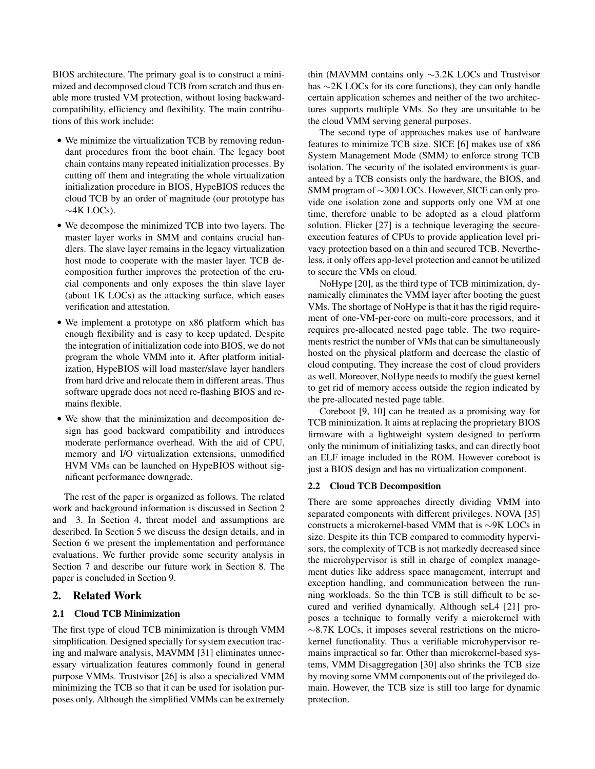BIOS architecture. The primary goal is to construct a minimized and decomposed cloud TCB from scratch and thus enable more trusted VM protection, without losing backwardcompatibility, efficiency and flexibility. The main contributions of this work include:

- *•* We minimize the virtualization TCB by removing redundant procedures from the boot chain. The legacy boot chain contains many repeated initialization processes. By cutting off them and integrating the whole virtualization initialization procedure in BIOS, HypeBIOS reduces the cloud TCB by an order of magnitude (our prototype has *∼*4K LOCs).
- *•* We decompose the minimized TCB into two layers. The master layer works in SMM and contains crucial handlers. The slave layer remains in the legacy virtualization host mode to cooperate with the master layer. TCB decomposition further improves the protection of the crucial components and only exposes the thin slave layer (about 1K LOCs) as the attacking surface, which eases verification and attestation.
- *•* We implement a prototype on x86 platform which has enough flexibility and is easy to keep updated. Despite the integration of initialization code into BIOS, we do not program the whole VMM into it. After platform initialization, HypeBIOS will load master/slave layer handlers from hard drive and relocate them in different areas. Thus software upgrade does not need re-flashing BIOS and remains flexible.
- *•* We show that the minimization and decomposition design has good backward compatibility and introduces moderate performance overhead. With the aid of CPU, memory and I/O virtualization extensions, unmodified HVM VMs can be launched on HypeBIOS without significant performance downgrade.

The rest of the paper is organized as follows. The related work and background information is discussed in Section 2 and 3. In Section 4, threat model and assumptions are described. In Section 5 we discuss the design details, and in Section 6 we present the implementation and performance evaluations. We further provide some security analysis in Section 7 and describe our future work in Section 8. The paper is concluded in Section 9.

# 2. Related Work

# 2.1 Cloud TCB Minimization

The first type of cloud TCB minimization is through VMM simplification. Designed specially for system execution tracing and malware analysis, MAVMM [31] eliminates unnecessary virtualization features commonly found in general purpose VMMs. Trustvisor [26] is also a specialized VMM minimizing the TCB so that it can be used for isolation purposes only. Although the simplified VMMs can be extremely thin (MAVMM contains only *∼*3.2K LOCs and Trustvisor has *∼*2K LOCs for its core functions), they can only handle certain application schemes and neither of the two architectures supports multiple VMs. So they are unsuitable to be the cloud VMM serving general purposes.

The second type of approaches makes use of hardware features to minimize TCB size. SICE [6] makes use of x86 System Management Mode (SMM) to enforce strong TCB isolation. The security of the isolated environments is guaranteed by a TCB consists only the hardware, the BIOS, and SMM program of *∼*300 LOCs. However, SICE can only provide one isolation zone and supports only one VM at one time, therefore unable to be adopted as a cloud platform solution. Flicker [27] is a technique leveraging the secureexecution features of CPUs to provide application level privacy protection based on a thin and secured TCB. Nevertheless, it only offers app-level protection and cannot be utilized to secure the VMs on cloud.

NoHype [20], as the third type of TCB minimization, dynamically eliminates the VMM layer after booting the guest VMs. The shortage of NoHype is that it has the rigid requirement of one-VM-per-core on multi-core processors, and it requires pre-allocated nested page table. The two requirements restrict the number of VMs that can be simultaneously hosted on the physical platform and decrease the elastic of cloud computing. They increase the cost of cloud providers as well. Moreover, NoHype needs to modify the guest kernel to get rid of memory access outside the region indicated by the pre-allocated nested page table.

Coreboot [9, 10] can be treated as a promising way for TCB minimization. It aims at replacing the proprietary BIOS firmware with a lightweight system designed to perform only the minimum of initializing tasks, and can directly boot an ELF image included in the ROM. However coreboot is just a BIOS design and has no virtualization component.

## 2.2 Cloud TCB Decomposition

There are some approaches directly dividing VMM into separated components with different privileges. NOVA [35] constructs a microkernel-based VMM that is *∼*9K LOCs in size. Despite its thin TCB compared to commodity hypervisors, the complexity of TCB is not markedly decreased since the microhypervisor is still in charge of complex management duties like address space management, interrupt and exception handling, and communication between the running workloads. So the thin TCB is still difficult to be secured and verified dynamically. Although seL4 [21] proposes a technique to formally verify a microkernel with *∼*8.7K LOCs, it imposes several restrictions on the microkernel functionality. Thus a verifiable microhypervisor remains impractical so far. Other than microkernel-based systems, VMM Disaggregation [30] also shrinks the TCB size by moving some VMM components out of the privileged domain. However, the TCB size is still too large for dynamic protection.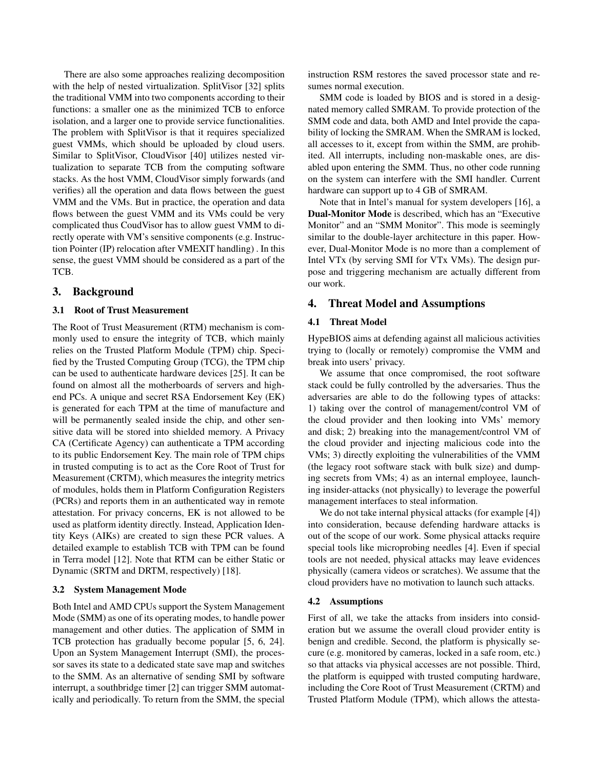There are also some approaches realizing decomposition with the help of nested virtualization. SplitVisor [32] splits the traditional VMM into two components according to their functions: a smaller one as the minimized TCB to enforce isolation, and a larger one to provide service functionalities. The problem with SplitVisor is that it requires specialized guest VMMs, which should be uploaded by cloud users. Similar to SplitVisor, CloudVisor [40] utilizes nested virtualization to separate TCB from the computing software stacks. As the host VMM, CloudVisor simply forwards (and verifies) all the operation and data flows between the guest VMM and the VMs. But in practice, the operation and data flows between the guest VMM and its VMs could be very complicated thus CoudVisor has to allow guest VMM to directly operate with VM's sensitive components (e.g. Instruction Pointer (IP) relocation after VMEXIT handling) . In this sense, the guest VMM should be considered as a part of the TCB.

# 3. Background

## 3.1 Root of Trust Measurement

The Root of Trust Measurement (RTM) mechanism is commonly used to ensure the integrity of TCB, which mainly relies on the Trusted Platform Module (TPM) chip. Specified by the Trusted Computing Group (TCG), the TPM chip can be used to authenticate hardware devices [25]. It can be found on almost all the motherboards of servers and highend PCs. A unique and secret RSA Endorsement Key (EK) is generated for each TPM at the time of manufacture and will be permanently sealed inside the chip, and other sensitive data will be stored into shielded memory. A Privacy CA (Certificate Agency) can authenticate a TPM according to its public Endorsement Key. The main role of TPM chips in trusted computing is to act as the Core Root of Trust for Measurement (CRTM), which measures the integrity metrics of modules, holds them in Platform Configuration Registers (PCRs) and reports them in an authenticated way in remote attestation. For privacy concerns, EK is not allowed to be used as platform identity directly. Instead, Application Identity Keys (AIKs) are created to sign these PCR values. A detailed example to establish TCB with TPM can be found in Terra model [12]. Note that RTM can be either Static or Dynamic (SRTM and DRTM, respectively) [18].

## 3.2 System Management Mode

Both Intel and AMD CPUs support the System Management Mode (SMM) as one of its operating modes, to handle power management and other duties. The application of SMM in TCB protection has gradually become popular [5, 6, 24]. Upon an System Management Interrupt (SMI), the processor saves its state to a dedicated state save map and switches to the SMM. As an alternative of sending SMI by software interrupt, a southbridge timer [2] can trigger SMM automatically and periodically. To return from the SMM, the special instruction RSM restores the saved processor state and resumes normal execution.

SMM code is loaded by BIOS and is stored in a designated memory called SMRAM. To provide protection of the SMM code and data, both AMD and Intel provide the capability of locking the SMRAM. When the SMRAM is locked, all accesses to it, except from within the SMM, are prohibited. All interrupts, including non-maskable ones, are disabled upon entering the SMM. Thus, no other code running on the system can interfere with the SMI handler. Current hardware can support up to 4 GB of SMRAM.

Note that in Intel's manual for system developers [16], a Dual-Monitor Mode is described, which has an "Executive Monitor" and an "SMM Monitor". This mode is seemingly similar to the double-layer architecture in this paper. However, Dual-Monitor Mode is no more than a complement of Intel VTx (by serving SMI for VTx VMs). The design purpose and triggering mechanism are actually different from our work.

# 4. Threat Model and Assumptions

## 4.1 Threat Model

HypeBIOS aims at defending against all malicious activities trying to (locally or remotely) compromise the VMM and break into users' privacy.

We assume that once compromised, the root software stack could be fully controlled by the adversaries. Thus the adversaries are able to do the following types of attacks: 1) taking over the control of management/control VM of the cloud provider and then looking into VMs' memory and disk; 2) breaking into the management/control VM of the cloud provider and injecting malicious code into the VMs; 3) directly exploiting the vulnerabilities of the VMM (the legacy root software stack with bulk size) and dumping secrets from VMs; 4) as an internal employee, launching insider-attacks (not physically) to leverage the powerful management interfaces to steal information.

We do not take internal physical attacks (for example [4]) into consideration, because defending hardware attacks is out of the scope of our work. Some physical attacks require special tools like microprobing needles [4]. Even if special tools are not needed, physical attacks may leave evidences physically (camera videos or scratches). We assume that the cloud providers have no motivation to launch such attacks.

#### 4.2 Assumptions

First of all, we take the attacks from insiders into consideration but we assume the overall cloud provider entity is benign and credible. Second, the platform is physically secure (e.g. monitored by cameras, locked in a safe room, etc.) so that attacks via physical accesses are not possible. Third, the platform is equipped with trusted computing hardware, including the Core Root of Trust Measurement (CRTM) and Trusted Platform Module (TPM), which allows the attesta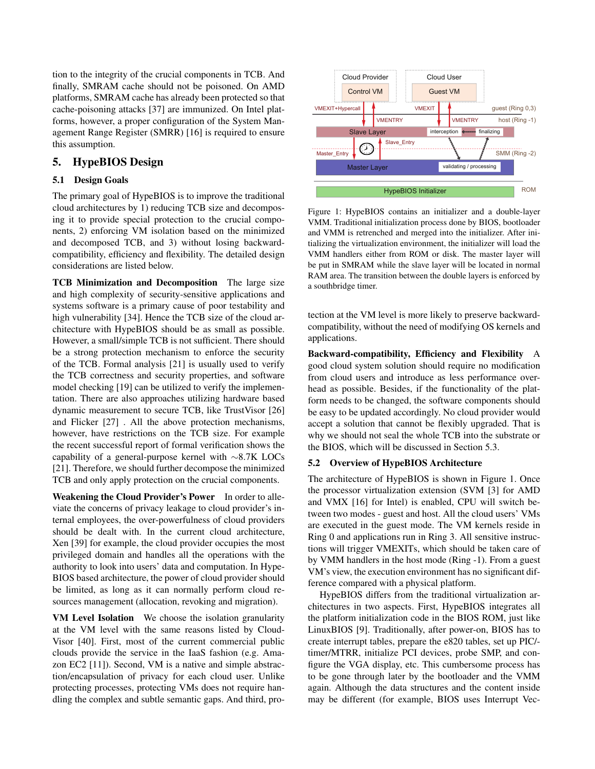tion to the integrity of the crucial components in TCB. And finally, SMRAM cache should not be poisoned. On AMD platforms, SMRAM cache has already been protected so that cache-poisoning attacks [37] are immunized. On Intel platforms, however, a proper configuration of the System Management Range Register (SMRR) [16] is required to ensure this assumption.

# 5. HypeBIOS Design

# 5.1 Design Goals

The primary goal of HypeBIOS is to improve the traditional cloud architectures by 1) reducing TCB size and decomposing it to provide special protection to the crucial components, 2) enforcing VM isolation based on the minimized and decomposed TCB, and 3) without losing backwardcompatibility, efficiency and flexibility. The detailed design considerations are listed below.

TCB Minimization and Decomposition The large size and high complexity of security-sensitive applications and systems software is a primary cause of poor testability and high vulnerability [34]. Hence the TCB size of the cloud architecture with HypeBIOS should be as small as possible. However, a small/simple TCB is not sufficient. There should be a strong protection mechanism to enforce the security of the TCB. Formal analysis [21] is usually used to verify the TCB correctness and security properties, and software model checking [19] can be utilized to verify the implementation. There are also approaches utilizing hardware based dynamic measurement to secure TCB, like TrustVisor [26] and Flicker [27] . All the above protection mechanisms, however, have restrictions on the TCB size. For example the recent successful report of formal verification shows the capability of a general-purpose kernel with *∼*8.7K LOCs [21]. Therefore, we should further decompose the minimized TCB and only apply protection on the crucial components.

Weakening the Cloud Provider's Power In order to alleviate the concerns of privacy leakage to cloud provider's internal employees, the over-powerfulness of cloud providers should be dealt with. In the current cloud architecture, Xen [39] for example, the cloud provider occupies the most privileged domain and handles all the operations with the authority to look into users' data and computation. In Hype-BIOS based architecture, the power of cloud provider should be limited, as long as it can normally perform cloud resources management (allocation, revoking and migration).

VM Level Isolation We choose the isolation granularity at the VM level with the same reasons listed by Cloud-Visor [40]. First, most of the current commercial public clouds provide the service in the IaaS fashion (e.g. Amazon EC2 [11]). Second, VM is a native and simple abstraction/encapsulation of privacy for each cloud user. Unlike protecting processes, protecting VMs does not require handling the complex and subtle semantic gaps. And third, pro-



Figure 1: HypeBIOS contains an initializer and a double-layer VMM. Traditional initialization process done by BIOS, bootloader and VMM is retrenched and merged into the initializer. After initializing the virtualization environment, the initializer will load the VMM handlers either from ROM or disk. The master layer will be put in SMRAM while the slave layer will be located in normal RAM area. The transition between the double layers is enforced by a southbridge timer.

tection at the VM level is more likely to preserve backwardcompatibility, without the need of modifying OS kernels and applications.

Backward-compatibility, Efficiency and Flexibility A good cloud system solution should require no modification from cloud users and introduce as less performance overhead as possible. Besides, if the functionality of the platform needs to be changed, the software components should be easy to be updated accordingly. No cloud provider would accept a solution that cannot be flexibly upgraded. That is why we should not seal the whole TCB into the substrate or the BIOS, which will be discussed in Section 5.3.

## 5.2 Overview of HypeBIOS Architecture

The architecture of HypeBIOS is shown in Figure 1. Once the processor virtualization extension (SVM [3] for AMD and VMX [16] for Intel) is enabled, CPU will switch between two modes - guest and host. All the cloud users' VMs are executed in the guest mode. The VM kernels reside in Ring 0 and applications run in Ring 3. All sensitive instructions will trigger VMEXITs, which should be taken care of by VMM handlers in the host mode (Ring -1). From a guest VM's view, the execution environment has no significant difference compared with a physical platform.

HypeBIOS differs from the traditional virtualization architectures in two aspects. First, HypeBIOS integrates all the platform initialization code in the BIOS ROM, just like LinuxBIOS [9]. Traditionally, after power-on, BIOS has to create interrupt tables, prepare the e820 tables, set up PIC/ timer/MTRR, initialize PCI devices, probe SMP, and configure the VGA display, etc. This cumbersome process has to be gone through later by the bootloader and the VMM again. Although the data structures and the content inside may be different (for example, BIOS uses Interrupt Vec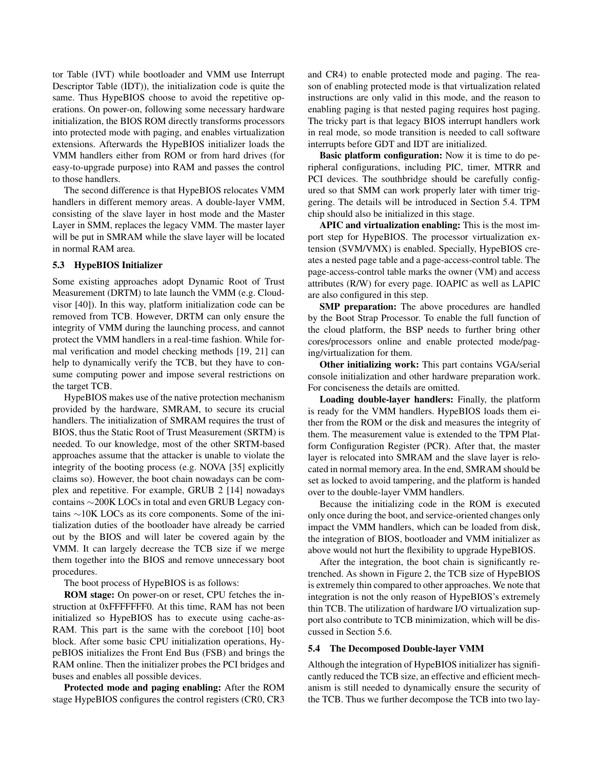tor Table (IVT) while bootloader and VMM use Interrupt Descriptor Table (IDT)), the initialization code is quite the same. Thus HypeBIOS choose to avoid the repetitive operations. On power-on, following some necessary hardware initialization, the BIOS ROM directly transforms processors into protected mode with paging, and enables virtualization extensions. Afterwards the HypeBIOS initializer loads the VMM handlers either from ROM or from hard drives (for easy-to-upgrade purpose) into RAM and passes the control to those handlers.

The second difference is that HypeBIOS relocates VMM handlers in different memory areas. A double-layer VMM, consisting of the slave layer in host mode and the Master Layer in SMM, replaces the legacy VMM. The master layer will be put in SMRAM while the slave layer will be located in normal RAM area.

## 5.3 HypeBIOS Initializer

Some existing approaches adopt Dynamic Root of Trust Measurement (DRTM) to late launch the VMM (e.g. Cloudvisor [40]). In this way, platform initialization code can be removed from TCB. However, DRTM can only ensure the integrity of VMM during the launching process, and cannot protect the VMM handlers in a real-time fashion. While formal verification and model checking methods [19, 21] can help to dynamically verify the TCB, but they have to consume computing power and impose several restrictions on the target TCB.

HypeBIOS makes use of the native protection mechanism provided by the hardware, SMRAM, to secure its crucial handlers. The initialization of SMRAM requires the trust of BIOS, thus the Static Root of Trust Measurement (SRTM) is needed. To our knowledge, most of the other SRTM-based approaches assume that the attacker is unable to violate the integrity of the booting process (e.g. NOVA [35] explicitly claims so). However, the boot chain nowadays can be complex and repetitive. For example, GRUB 2 [14] nowadays contains *∼*200K LOCs in total and even GRUB Legacy contains *∼*10K LOCs as its core components. Some of the initialization duties of the bootloader have already be carried out by the BIOS and will later be covered again by the VMM. It can largely decrease the TCB size if we merge them together into the BIOS and remove unnecessary boot procedures.

The boot process of HypeBIOS is as follows:

ROM stage: On power-on or reset, CPU fetches the instruction at 0xFFFFFFF0. At this time, RAM has not been initialized so HypeBIOS has to execute using cache-as-RAM. This part is the same with the coreboot [10] boot block. After some basic CPU initialization operations, HypeBIOS initializes the Front End Bus (FSB) and brings the RAM online. Then the initializer probes the PCI bridges and buses and enables all possible devices.

Protected mode and paging enabling: After the ROM stage HypeBIOS configures the control registers (CR0, CR3 and CR4) to enable protected mode and paging. The reason of enabling protected mode is that virtualization related instructions are only valid in this mode, and the reason to enabling paging is that nested paging requires host paging. The tricky part is that legacy BIOS interrupt handlers work in real mode, so mode transition is needed to call software interrupts before GDT and IDT are initialized.

Basic platform configuration: Now it is time to do peripheral configurations, including PIC, timer, MTRR and PCI devices. The southbridge should be carefully configured so that SMM can work properly later with timer triggering. The details will be introduced in Section 5.4. TPM chip should also be initialized in this stage.

APIC and virtualization enabling: This is the most import step for HypeBIOS. The processor virtualization extension (SVM/VMX) is enabled. Specially, HypeBIOS creates a nested page table and a page-access-control table. The page-access-control table marks the owner (VM) and access attributes (R/W) for every page. IOAPIC as well as LAPIC are also configured in this step.

SMP preparation: The above procedures are handled by the Boot Strap Processor. To enable the full function of the cloud platform, the BSP needs to further bring other cores/processors online and enable protected mode/paging/virtualization for them.

Other initializing work: This part contains VGA/serial console initialization and other hardware preparation work. For conciseness the details are omitted.

Loading double-layer handlers: Finally, the platform is ready for the VMM handlers. HypeBIOS loads them either from the ROM or the disk and measures the integrity of them. The measurement value is extended to the TPM Platform Configuration Register (PCR). After that, the master layer is relocated into SMRAM and the slave layer is relocated in normal memory area. In the end, SMRAM should be set as locked to avoid tampering, and the platform is handed over to the double-layer VMM handlers.

Because the initializing code in the ROM is executed only once during the boot, and service-oriented changes only impact the VMM handlers, which can be loaded from disk, the integration of BIOS, bootloader and VMM initializer as above would not hurt the flexibility to upgrade HypeBIOS.

After the integration, the boot chain is significantly retrenched. As shown in Figure 2, the TCB size of HypeBIOS is extremely thin compared to other approaches. We note that integration is not the only reason of HypeBIOS's extremely thin TCB. The utilization of hardware I/O virtualization support also contribute to TCB minimization, which will be discussed in Section 5.6.

## 5.4 The Decomposed Double-layer VMM

Although the integration of HypeBIOS initializer has significantly reduced the TCB size, an effective and efficient mechanism is still needed to dynamically ensure the security of the TCB. Thus we further decompose the TCB into two lay-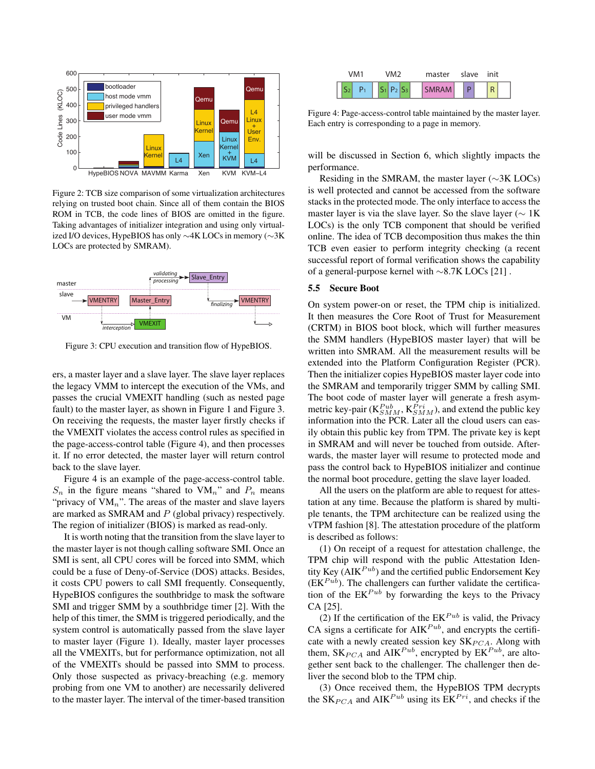

Figure 2: TCB size comparison of some virtualization architectures relying on trusted boot chain. Since all of them contain the BIOS ROM in TCB, the code lines of BIOS are omitted in the figure. Taking advantages of initializer integration and using only virtualized I/O devices, HypeBIOS has only *∼*4K LOCs in memory (*∼*3K LOCs are protected by SMRAM).



Figure 3: CPU execution and transition flow of HypeBIOS.

ers, a master layer and a slave layer. The slave layer replaces the legacy VMM to intercept the execution of the VMs, and passes the crucial VMEXIT handling (such as nested page fault) to the master layer, as shown in Figure 1 and Figure 3. On receiving the requests, the master layer firstly checks if the VMEXIT violates the access control rules as specified in the page-access-control table (Figure 4), and then processes it. If no error detected, the master layer will return control back to the slave layer.

Figure 4 is an example of the page-access-control table.  $S_n$  in the figure means "shared to  $VM_n$ " and  $P_n$  means "privacy of VM<sub>n</sub>". The areas of the master and slave layers are marked as SMRAM and *P* (global privacy) respectively. The region of initializer (BIOS) is marked as read-only.

It is worth noting that the transition from the slave layer to the master layer is not though calling software SMI. Once an SMI is sent, all CPU cores will be forced into SMM, which could be a fuse of Deny-of-Service (DOS) attacks. Besides, it costs CPU powers to call SMI frequently. Consequently, HypeBIOS configures the southbridge to mask the software SMI and trigger SMM by a southbridge timer [2]. With the help of this timer, the SMM is triggered periodically, and the system control is automatically passed from the slave layer to master layer (Figure 1). Ideally, master layer processes all the VMEXITs, but for performance optimization, not all of the VMEXITs should be passed into SMM to process. Only those suspected as privacy-breaching (e.g. memory probing from one VM to another) are necessarily delivered to the master layer. The interval of the timer-based transition



Figure 4: Page-access-control table maintained by the master layer. Each entry is corresponding to a page in memory.

will be discussed in Section 6, which slightly impacts the performance.

Residing in the SMRAM, the master layer (*∼*3K LOCs) is well protected and cannot be accessed from the software stacks in the protected mode. The only interface to access the master layer is via the slave layer. So the slave layer (*∼* 1K LOCs) is the only TCB component that should be verified online. The idea of TCB decomposition thus makes the thin TCB even easier to perform integrity checking (a recent successful report of formal verification shows the capability of a general-purpose kernel with *∼*8.7K LOCs [21] .

#### 5.5 Secure Boot

On system power-on or reset, the TPM chip is initialized. It then measures the Core Root of Trust for Measurement (CRTM) in BIOS boot block, which will further measures the SMM handlers (HypeBIOS master layer) that will be written into SMRAM. All the measurement results will be extended into the Platform Configuration Register (PCR). Then the initializer copies HypeBIOS master layer code into the SMRAM and temporarily trigger SMM by calling SMI. The boot code of master layer will generate a fresh asymmetric key-pair ( $K_{SMM}^{Pub}$ ,  $K_{SMM}^{Pri}$ ), and extend the public key information into the PCR. Later all the cloud users can easily obtain this public key from TPM. The private key is kept in SMRAM and will never be touched from outside. Afterwards, the master layer will resume to protected mode and pass the control back to HypeBIOS initializer and continue the normal boot procedure, getting the slave layer loaded.

All the users on the platform are able to request for attestation at any time. Because the platform is shared by multiple tenants, the TPM architecture can be realized using the vTPM fashion [8]. The attestation procedure of the platform is described as follows:

(1) On receipt of a request for attestation challenge, the TPM chip will respond with the public Attestation Identity Key ( $\Delta$ IK<sup> $Pub$ </sup>) and the certified public Endorsement Key  $(EK<sup>Pub</sup>)$ . The challengers can further validate the certification of the  $EK^{Pub}$  by forwarding the keys to the Privacy CA [25].

(2) If the certification of the  $EK^{Pub}$  is valid, the Privacy CA signs a certificate for  $\text{AIK}^{Pub}$ , and encrypts the certificate with a newly created session key SK<sub>PCA</sub>. Along with them,  $SK_{PCA}$  and  $AIK^{Pub}$ , encrypted by  $EK^{Pub}$ , are altogether sent back to the challenger. The challenger then deliver the second blob to the TPM chip.

(3) Once received them, the HypeBIOS TPM decrypts the  $SK_{PCA}$  and  $AIK^{Pub}$  using its  $EK^{Pri}$ , and checks if the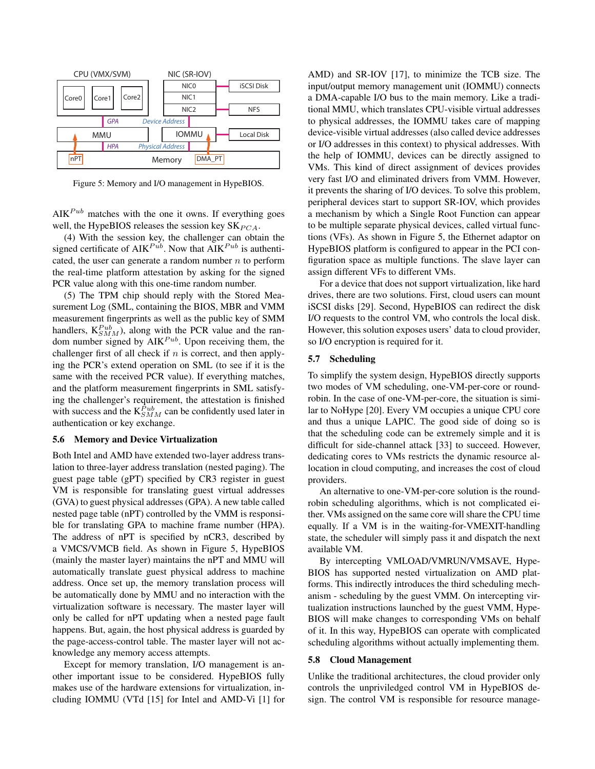

Figure 5: Memory and I/O management in HypeBIOS.

 $A I K^{Pub}$  matches with the one it owns. If everything goes well, the HypeBIOS releases the session key  $SK_{PCA}$ .

(4) With the session key, the challenger can obtain the signed certificate of  $\text{AIK}^{Pub}$ . Now that  $\text{AIK}^{Pub}$  is authenticated, the user can generate a random number *n* to perform the real-time platform attestation by asking for the signed PCR value along with this one-time random number.

(5) The TPM chip should reply with the Stored Measurement Log (SML, containing the BIOS, MBR and VMM measurement fingerprints as well as the public key of SMM handlers,  $K_{SMM}^{Pub}$ ), along with the PCR value and the random number signed by AIK<sup>*Pub*</sup>. Upon receiving them, the challenger first of all check if *n* is correct, and then applying the PCR's extend operation on SML (to see if it is the same with the received PCR value). If everything matches, and the platform measurement fingerprints in SML satisfying the challenger's requirement, the attestation is finished with success and the  $K_{SMM}^{Pub}$  can be confidently used later in authentication or key exchange.

#### 5.6 Memory and Device Virtualization

Both Intel and AMD have extended two-layer address translation to three-layer address translation (nested paging). The guest page table (gPT) specified by CR3 register in guest VM is responsible for translating guest virtual addresses (GVA) to guest physical addresses (GPA). A new table called nested page table (nPT) controlled by the VMM is responsible for translating GPA to machine frame number (HPA). The address of nPT is specified by nCR3, described by a VMCS/VMCB field. As shown in Figure 5, HypeBIOS (mainly the master layer) maintains the nPT and MMU will automatically translate guest physical address to machine address. Once set up, the memory translation process will be automatically done by MMU and no interaction with the virtualization software is necessary. The master layer will only be called for nPT updating when a nested page fault happens. But, again, the host physical address is guarded by the page-access-control table. The master layer will not acknowledge any memory access attempts.

Except for memory translation, I/O management is another important issue to be considered. HypeBIOS fully makes use of the hardware extensions for virtualization, including IOMMU (VTd [15] for Intel and AMD-Vi [1] for

AMD) and SR-IOV [17], to minimize the TCB size. The input/output memory management unit (IOMMU) connects a DMA-capable I/O bus to the main memory. Like a traditional MMU, which translates CPU-visible virtual addresses to physical addresses, the IOMMU takes care of mapping device-visible virtual addresses (also called device addresses or I/O addresses in this context) to physical addresses. With the help of IOMMU, devices can be directly assigned to VMs. This kind of direct assignment of devices provides very fast I/O and eliminated drivers from VMM. However, it prevents the sharing of I/O devices. To solve this problem, peripheral devices start to support SR-IOV, which provides a mechanism by which a Single Root Function can appear to be multiple separate physical devices, called virtual functions (VFs). As shown in Figure 5, the Ethernet adaptor on HypeBIOS platform is configured to appear in the PCI configuration space as multiple functions. The slave layer can assign different VFs to different VMs.

For a device that does not support virtualization, like hard drives, there are two solutions. First, cloud users can mount iSCSI disks [29]. Second, HypeBIOS can redirect the disk I/O requests to the control VM, who controls the local disk. However, this solution exposes users' data to cloud provider, so I/O encryption is required for it.

## 5.7 Scheduling

To simplify the system design, HypeBIOS directly supports two modes of VM scheduling, one-VM-per-core or roundrobin. In the case of one-VM-per-core, the situation is similar to NoHype [20]. Every VM occupies a unique CPU core and thus a unique LAPIC. The good side of doing so is that the scheduling code can be extremely simple and it is difficult for side-channel attack [33] to succeed. However, dedicating cores to VMs restricts the dynamic resource allocation in cloud computing, and increases the cost of cloud providers.

An alternative to one-VM-per-core solution is the roundrobin scheduling algorithms, which is not complicated either. VMs assigned on the same core will share the CPU time equally. If a VM is in the waiting-for-VMEXIT-handling state, the scheduler will simply pass it and dispatch the next available VM.

By intercepting VMLOAD/VMRUN/VMSAVE, Hype-BIOS has supported nested virtualization on AMD platforms. This indirectly introduces the third scheduling mechanism - scheduling by the guest VMM. On intercepting virtualization instructions launched by the guest VMM, Hype-BIOS will make changes to corresponding VMs on behalf of it. In this way, HypeBIOS can operate with complicated scheduling algorithms without actually implementing them.

## 5.8 Cloud Management

Unlike the traditional architectures, the cloud provider only controls the unpriviledged control VM in HypeBIOS design. The control VM is responsible for resource manage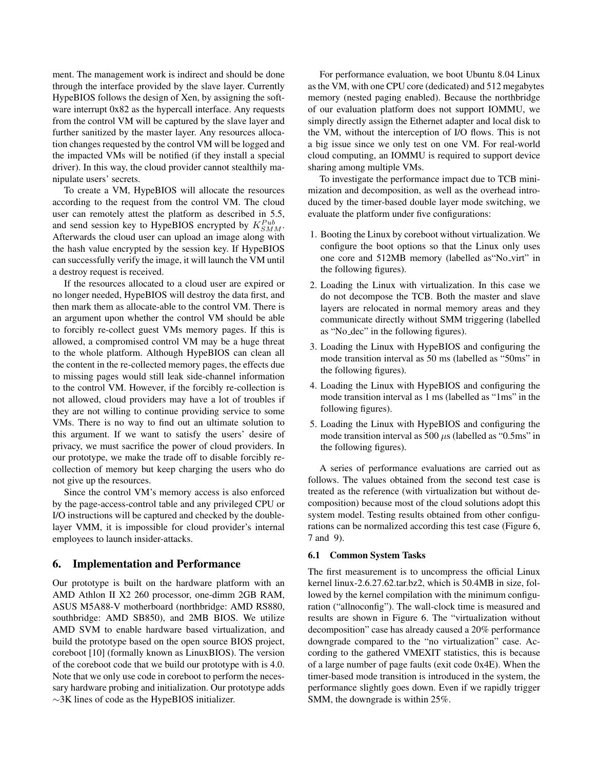ment. The management work is indirect and should be done through the interface provided by the slave layer. Currently HypeBIOS follows the design of Xen, by assigning the software interrupt 0x82 as the hypercall interface. Any requests from the control VM will be captured by the slave layer and further sanitized by the master layer. Any resources allocation changes requested by the control VM will be logged and the impacted VMs will be notified (if they install a special driver). In this way, the cloud provider cannot stealthily manipulate users' secrets.

To create a VM, HypeBIOS will allocate the resources according to the request from the control VM. The cloud user can remotely attest the platform as described in 5.5, and send session key to HypeBIOS encrypted by  $K_{SMM}^{Pub}$ . Afterwards the cloud user can upload an image along with the hash value encrypted by the session key. If HypeBIOS can successfully verify the image, it will launch the VM until a destroy request is received.

If the resources allocated to a cloud user are expired or no longer needed, HypeBIOS will destroy the data first, and then mark them as allocate-able to the control VM. There is an argument upon whether the control VM should be able to forcibly re-collect guest VMs memory pages. If this is allowed, a compromised control VM may be a huge threat to the whole platform. Although HypeBIOS can clean all the content in the re-collected memory pages, the effects due to missing pages would still leak side-channel information to the control VM. However, if the forcibly re-collection is not allowed, cloud providers may have a lot of troubles if they are not willing to continue providing service to some VMs. There is no way to find out an ultimate solution to this argument. If we want to satisfy the users' desire of privacy, we must sacrifice the power of cloud providers. In our prototype, we make the trade off to disable forcibly recollection of memory but keep charging the users who do not give up the resources.

Since the control VM's memory access is also enforced by the page-access-control table and any privileged CPU or I/O instructions will be captured and checked by the doublelayer VMM, it is impossible for cloud provider's internal employees to launch insider-attacks.

## 6. Implementation and Performance

Our prototype is built on the hardware platform with an AMD Athlon II X2 260 processor, one-dimm 2GB RAM, ASUS M5A88-V motherboard (northbridge: AMD RS880, southbridge: AMD SB850), and 2MB BIOS. We utilize AMD SVM to enable hardware based virtualization, and build the prototype based on the open source BIOS project, coreboot [10] (formally known as LinuxBIOS). The version of the coreboot code that we build our prototype with is 4.0. Note that we only use code in coreboot to perform the necessary hardware probing and initialization. Our prototype adds *∼*3K lines of code as the HypeBIOS initializer.

For performance evaluation, we boot Ubuntu 8.04 Linux as the VM, with one CPU core (dedicated) and 512 megabytes memory (nested paging enabled). Because the northbridge of our evaluation platform does not support IOMMU, we simply directly assign the Ethernet adapter and local disk to the VM, without the interception of I/O flows. This is not a big issue since we only test on one VM. For real-world cloud computing, an IOMMU is required to support device sharing among multiple VMs.

To investigate the performance impact due to TCB minimization and decomposition, as well as the overhead introduced by the timer-based double layer mode switching, we evaluate the platform under five configurations:

- 1. Booting the Linux by coreboot without virtualization. We configure the boot options so that the Linux only uses one core and 512MB memory (labelled as"No virt" in the following figures).
- 2. Loading the Linux with virtualization. In this case we do not decompose the TCB. Both the master and slave layers are relocated in normal memory areas and they communicate directly without SMM triggering (labelled as "No dec" in the following figures).
- 3. Loading the Linux with HypeBIOS and configuring the mode transition interval as 50 ms (labelled as "50ms" in the following figures).
- 4. Loading the Linux with HypeBIOS and configuring the mode transition interval as 1 ms (labelled as "1ms" in the following figures).
- 5. Loading the Linux with HypeBIOS and configuring the mode transition interval as 500 *µ*s (labelled as "0.5ms" in the following figures).

A series of performance evaluations are carried out as follows. The values obtained from the second test case is treated as the reference (with virtualization but without decomposition) because most of the cloud solutions adopt this system model. Testing results obtained from other configurations can be normalized according this test case (Figure 6, 7 and 9).

## 6.1 Common System Tasks

The first measurement is to uncompress the official Linux kernel linux-2.6.27.62.tar.bz2, which is 50.4MB in size, followed by the kernel compilation with the minimum configuration ("allnoconfig"). The wall-clock time is measured and results are shown in Figure 6. The "virtualization without decomposition" case has already caused a 20% performance downgrade compared to the "no virtualization" case. According to the gathered VMEXIT statistics, this is because of a large number of page faults (exit code 0x4E). When the timer-based mode transition is introduced in the system, the performance slightly goes down. Even if we rapidly trigger SMM, the downgrade is within 25%.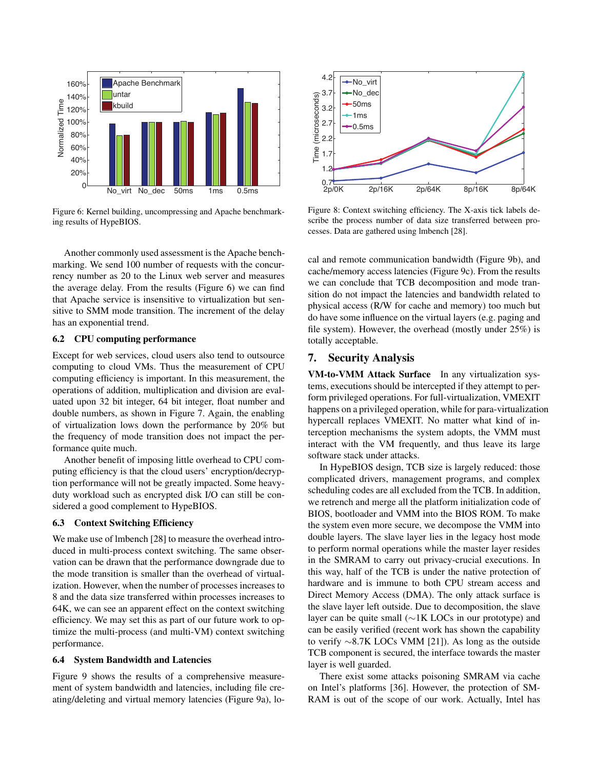

Figure 6: Kernel building, uncompressing and Apache benchmarking results of HypeBIOS.

Another commonly used assessment is the Apache benchmarking. We send 100 number of requests with the concurrency number as 20 to the Linux web server and measures the average delay. From the results (Figure 6) we can find that Apache service is insensitive to virtualization but sensitive to SMM mode transition. The increment of the delay has an exponential trend.

## 6.2 CPU computing performance

Except for web services, cloud users also tend to outsource computing to cloud VMs. Thus the measurement of CPU computing efficiency is important. In this measurement, the operations of addition, multiplication and division are evaluated upon 32 bit integer, 64 bit integer, float number and double numbers, as shown in Figure 7. Again, the enabling of virtualization lows down the performance by 20% but the frequency of mode transition does not impact the performance quite much.

Another benefit of imposing little overhead to CPU computing efficiency is that the cloud users' encryption/decryption performance will not be greatly impacted. Some heavyduty workload such as encrypted disk I/O can still be considered a good complement to HypeBIOS.

### 6.3 Context Switching Efficiency

We make use of lmbench [28] to measure the overhead introduced in multi-process context switching. The same observation can be drawn that the performance downgrade due to the mode transition is smaller than the overhead of virtualization. However, when the number of processes increases to 8 and the data size transferred within processes increases to 64K, we can see an apparent effect on the context switching efficiency. We may set this as part of our future work to optimize the multi-process (and multi-VM) context switching performance.

#### 6.4 System Bandwidth and Latencies

Figure 9 shows the results of a comprehensive measurement of system bandwidth and latencies, including file creating/deleting and virtual memory latencies (Figure 9a), lo-



Figure 8: Context switching efficiency. The X-axis tick labels describe the process number of data size transferred between processes. Data are gathered using lmbench [28].

cal and remote communication bandwidth (Figure 9b), and cache/memory access latencies (Figure 9c). From the results we can conclude that TCB decomposition and mode transition do not impact the latencies and bandwidth related to physical access (R/W for cache and memory) too much but do have some influence on the virtual layers (e.g. paging and file system). However, the overhead (mostly under 25%) is totally acceptable.

# 7. Security Analysis

VM-to-VMM Attack Surface In any virtualization systems, executions should be intercepted if they attempt to perform privileged operations. For full-virtualization, VMEXIT happens on a privileged operation, while for para-virtualization hypercall replaces VMEXIT. No matter what kind of interception mechanisms the system adopts, the VMM must interact with the VM frequently, and thus leave its large software stack under attacks.

In HypeBIOS design, TCB size is largely reduced: those complicated drivers, management programs, and complex scheduling codes are all excluded from the TCB. In addition, we retrench and merge all the platform initialization code of BIOS, bootloader and VMM into the BIOS ROM. To make the system even more secure, we decompose the VMM into double layers. The slave layer lies in the legacy host mode to perform normal operations while the master layer resides in the SMRAM to carry out privacy-crucial executions. In this way, half of the TCB is under the native protection of hardware and is immune to both CPU stream access and Direct Memory Access (DMA). The only attack surface is the slave layer left outside. Due to decomposition, the slave layer can be quite small (*∼*1K LOCs in our prototype) and can be easily verified (recent work has shown the capability to verify *∼*8.7K LOCs VMM [21]). As long as the outside TCB component is secured, the interface towards the master layer is well guarded.

There exist some attacks poisoning SMRAM via cache on Intel's platforms [36]. However, the protection of SM-RAM is out of the scope of our work. Actually, Intel has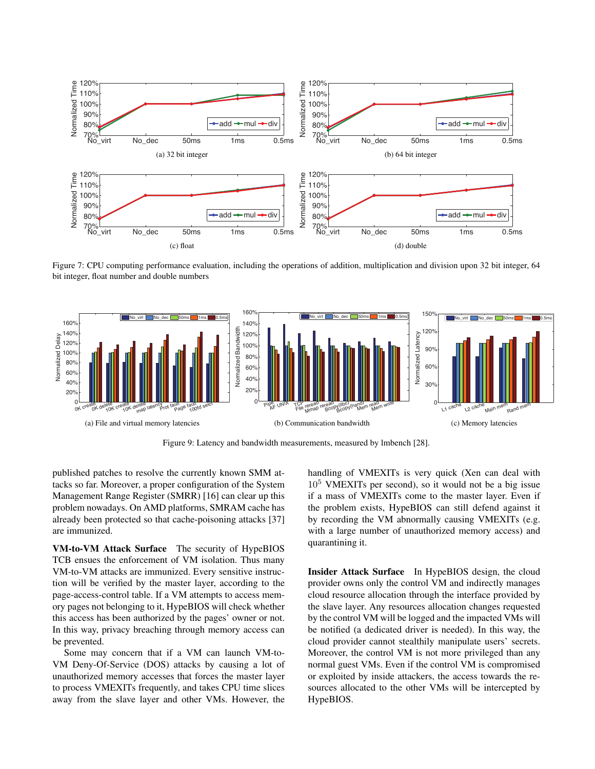

Figure 7: CPU computing performance evaluation, including the operations of addition, multiplication and division upon 32 bit integer, 64 bit integer, float number and double numbers



Figure 9: Latency and bandwidth measurements, measured by lmbench [28].

published patches to resolve the currently known SMM attacks so far. Moreover, a proper configuration of the System Management Range Register (SMRR) [16] can clear up this problem nowadays. On AMD platforms, SMRAM cache has already been protected so that cache-poisoning attacks [37] are immunized.

VM-to-VM Attack Surface The security of HypeBIOS TCB ensues the enforcement of VM isolation. Thus many VM-to-VM attacks are immunized. Every sensitive instruction will be verified by the master layer, according to the page-access-control table. If a VM attempts to access memory pages not belonging to it, HypeBIOS will check whether this access has been authorized by the pages' owner or not. In this way, privacy breaching through memory access can be prevented.

Some may concern that if a VM can launch VM-to-VM Deny-Of-Service (DOS) attacks by causing a lot of unauthorized memory accesses that forces the master layer to process VMEXITs frequently, and takes CPU time slices away from the slave layer and other VMs. However, the handling of VMEXITs is very quick (Xen can deal with  $10<sup>5</sup>$  VMEXITs per second), so it would not be a big issue if a mass of VMEXITs come to the master layer. Even if the problem exists, HypeBIOS can still defend against it by recording the VM abnormally causing VMEXITs (e.g. with a large number of unauthorized memory access) and quarantining it.

Insider Attack Surface In HypeBIOS design, the cloud provider owns only the control VM and indirectly manages cloud resource allocation through the interface provided by the slave layer. Any resources allocation changes requested by the control VM will be logged and the impacted VMs will be notified (a dedicated driver is needed). In this way, the cloud provider cannot stealthily manipulate users' secrets. Moreover, the control VM is not more privileged than any normal guest VMs. Even if the control VM is compromised or exploited by inside attackers, the access towards the resources allocated to the other VMs will be intercepted by HypeBIOS.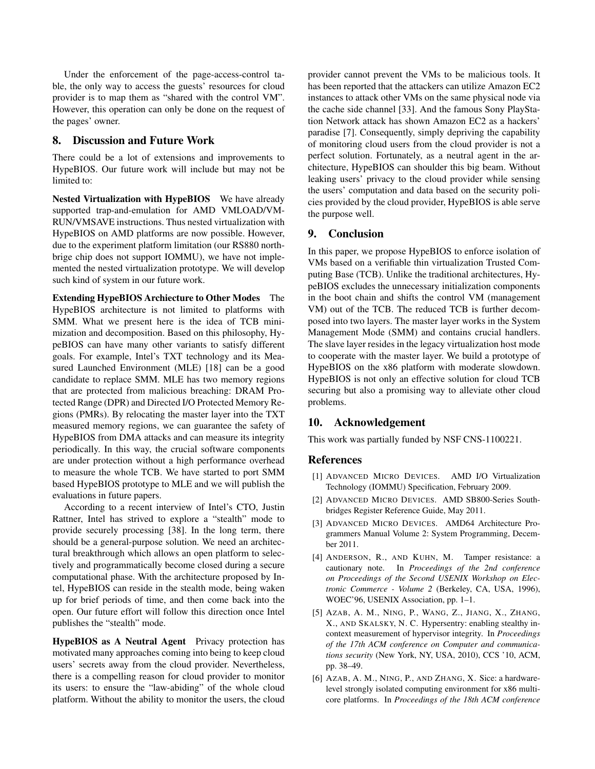Under the enforcement of the page-access-control table, the only way to access the guests' resources for cloud provider is to map them as "shared with the control VM". However, this operation can only be done on the request of the pages' owner.

# 8. Discussion and Future Work

There could be a lot of extensions and improvements to HypeBIOS. Our future work will include but may not be limited to:

Nested Virtualization with HypeBIOS We have already supported trap-and-emulation for AMD VMLOAD/VM-RUN/VMSAVE instructions. Thus nested virtualization with HypeBIOS on AMD platforms are now possible. However, due to the experiment platform limitation (our RS880 northbrige chip does not support IOMMU), we have not implemented the nested virtualization prototype. We will develop such kind of system in our future work.

Extending HypeBIOS Archiecture to Other Modes The HypeBIOS architecture is not limited to platforms with SMM. What we present here is the idea of TCB minimization and decomposition. Based on this philosophy, HypeBIOS can have many other variants to satisfy different goals. For example, Intel's TXT technology and its Measured Launched Environment (MLE) [18] can be a good candidate to replace SMM. MLE has two memory regions that are protected from malicious breaching: DRAM Protected Range (DPR) and Directed I/O Protected Memory Regions (PMRs). By relocating the master layer into the TXT measured memory regions, we can guarantee the safety of HypeBIOS from DMA attacks and can measure its integrity periodically. In this way, the crucial software components are under protection without a high performance overhead to measure the whole TCB. We have started to port SMM based HypeBIOS prototype to MLE and we will publish the evaluations in future papers.

According to a recent interview of Intel's CTO, Justin Rattner, Intel has strived to explore a "stealth" mode to provide securely processing [38]. In the long term, there should be a general-purpose solution. We need an architectural breakthrough which allows an open platform to selectively and programmatically become closed during a secure computational phase. With the architecture proposed by Intel, HypeBIOS can reside in the stealth mode, being waken up for brief periods of time, and then come back into the open. Our future effort will follow this direction once Intel publishes the "stealth" mode.

HypeBIOS as A Neutral Agent Privacy protection has motivated many approaches coming into being to keep cloud users' secrets away from the cloud provider. Nevertheless, there is a compelling reason for cloud provider to monitor its users: to ensure the "law-abiding" of the whole cloud platform. Without the ability to monitor the users, the cloud provider cannot prevent the VMs to be malicious tools. It has been reported that the attackers can utilize Amazon EC2 instances to attack other VMs on the same physical node via the cache side channel [33]. And the famous Sony PlayStation Network attack has shown Amazon EC2 as a hackers' paradise [7]. Consequently, simply depriving the capability of monitoring cloud users from the cloud provider is not a perfect solution. Fortunately, as a neutral agent in the architecture, HypeBIOS can shoulder this big beam. Without leaking users' privacy to the cloud provider while sensing the users' computation and data based on the security policies provided by the cloud provider, HypeBIOS is able serve the purpose well.

# 9. Conclusion

In this paper, we propose HypeBIOS to enforce isolation of VMs based on a verifiable thin virtualization Trusted Computing Base (TCB). Unlike the traditional architectures, HypeBIOS excludes the unnecessary initialization components in the boot chain and shifts the control VM (management VM) out of the TCB. The reduced TCB is further decomposed into two layers. The master layer works in the System Management Mode (SMM) and contains crucial handlers. The slave layer resides in the legacy virtualization host mode to cooperate with the master layer. We build a prototype of HypeBIOS on the x86 platform with moderate slowdown. HypeBIOS is not only an effective solution for cloud TCB securing but also a promising way to alleviate other cloud problems.

# 10. Acknowledgement

This work was partially funded by NSF CNS-1100221.

## References

- [1] ADVANCED MICRO DEVICES. AMD I/O Virtualization Technology (IOMMU) Specification, February 2009.
- [2] ADVANCED MICRO DEVICES. AMD SB800-Series Southbridges Register Reference Guide, May 2011.
- [3] ADVANCED MICRO DEVICES. AMD64 Architecture Programmers Manual Volume 2: System Programming, December 2011.
- [4] ANDERSON, R., AND KUHN, M. Tamper resistance: a cautionary note. In *Proceedings of the 2nd conference on Proceedings of the Second USENIX Workshop on Electronic Commerce - Volume 2* (Berkeley, CA, USA, 1996), WOEC'96, USENIX Association, pp. 1–1.
- [5] AZAB, A. M., NING, P., WANG, Z., JIANG, X., ZHANG, X., AND SKALSKY, N. C. Hypersentry: enabling stealthy incontext measurement of hypervisor integrity. In *Proceedings of the 17th ACM conference on Computer and communications security* (New York, NY, USA, 2010), CCS '10, ACM, pp. 38–49.
- [6] AZAB, A. M., NING, P., AND ZHANG, X. Sice: a hardwarelevel strongly isolated computing environment for x86 multicore platforms. In *Proceedings of the 18th ACM conference*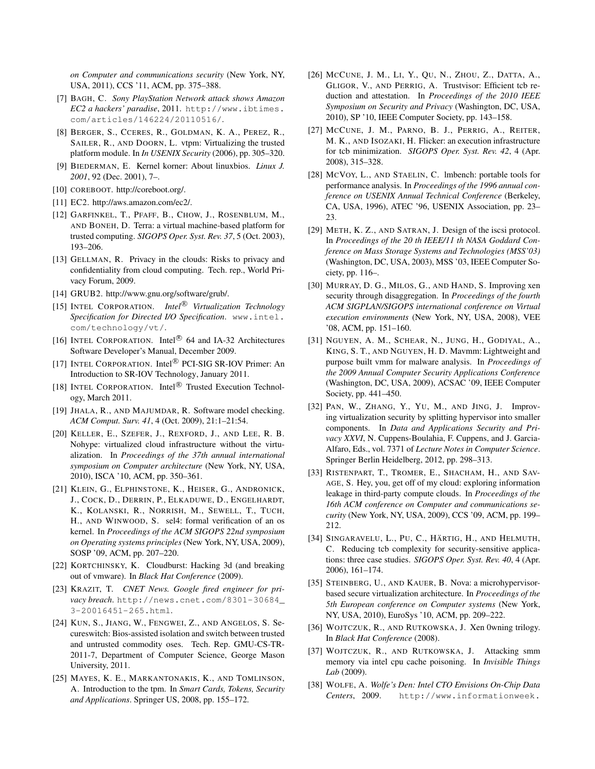*on Computer and communications security* (New York, NY, USA, 2011), CCS '11, ACM, pp. 375–388.

- [7] BAGH, C. *Sony PlayStation Network attack shows Amazon EC2 a hackers' paradise*, 2011. http://www.ibtimes. com/articles/146224/20110516/.
- [8] BERGER, S., CCERES, R., GOLDMAN, K. A., PEREZ, R., SAILER, R., AND DOORN, L. vtpm: Virtualizing the trusted platform module. In *In USENIX Security* (2006), pp. 305–320.
- [9] BIEDERMAN, E. Kernel korner: About linuxbios. *Linux J. 2001*, 92 (Dec. 2001), 7–.
- [10] COREBOOT. http://coreboot.org/.
- [11] EC2. http://aws.amazon.com/ec2/.
- [12] GARFINKEL, T., PFAFF, B., CHOW, J., ROSENBLUM, M., AND BONEH, D. Terra: a virtual machine-based platform for trusted computing. *SIGOPS Oper. Syst. Rev. 37*, 5 (Oct. 2003), 193–206.
- [13] GELLMAN, R. Privacy in the clouds: Risks to privacy and confidentiality from cloud computing. Tech. rep., World Privacy Forum, 2009.
- [14] GRUB2. http://www.gnu.org/software/grub/.
- [15] INTEL CORPORATION. *Intel<sup>®</sup> Virtualization Technology Specification for Directed I/O Specification*. www.intel. com/technology/vt/.
- [16] INTEL CORPORATION. Intel<sup>®</sup> 64 and IA-32 Architectures Software Developer's Manual, December 2009.
- [17] INTEL CORPORATION. Intel<sup>®</sup> PCI-SIG SR-IOV Primer: An Introduction to SR-IOV Technology, January 2011.
- [18] INTEL CORPORATION. Intel<sup>®</sup> Trusted Execution Technology, March 2011.
- [19] JHALA, R., AND MAJUMDAR, R. Software model checking. *ACM Comput. Surv. 41*, 4 (Oct. 2009), 21:1–21:54.
- [20] KELLER, E., SZEFER, J., REXFORD, J., AND LEE, R. B. Nohype: virtualized cloud infrastructure without the virtualization. In *Proceedings of the 37th annual international symposium on Computer architecture* (New York, NY, USA, 2010), ISCA '10, ACM, pp. 350–361.
- [21] KLEIN, G., ELPHINSTONE, K., HEISER, G., ANDRONICK, J., COCK, D., DERRIN, P., ELKADUWE, D., ENGELHARDT, K., KOLANSKI, R., NORRISH, M., SEWELL, T., TUCH, H., AND WINWOOD, S. sel4: formal verification of an os kernel. In *Proceedings of the ACM SIGOPS 22nd symposium on Operating systems principles* (New York, NY, USA, 2009), SOSP '09, ACM, pp. 207–220.
- [22] KORTCHINSKY, K. Cloudburst: Hacking 3d (and breaking out of vmware). In *Black Hat Conference* (2009).
- [23] KRAZIT, T. *CNET News. Google fired engineer for privacy breach*. http://news.cnet.com/8301-30684\_ 3-20016451-265.html.
- [24] KUN, S., JIANG, W., FENGWEI, Z., AND ANGELOS, S. Secureswitch: Bios-assisted isolation and switch between trusted and untrusted commodity oses. Tech. Rep. GMU-CS-TR-2011-7, Department of Computer Science, George Mason University, 2011.
- [25] MAYES, K. E., MARKANTONAKIS, K., AND TOMLINSON, A. Introduction to the tpm. In *Smart Cards, Tokens, Security and Applications*. Springer US, 2008, pp. 155–172.
- [26] MCCUNE, J. M., LI, Y., QU, N., ZHOU, Z., DATTA, A., GLIGOR, V., AND PERRIG, A. Trustvisor: Efficient tcb reduction and attestation. In *Proceedings of the 2010 IEEE Symposium on Security and Privacy* (Washington, DC, USA, 2010), SP '10, IEEE Computer Society, pp. 143–158.
- [27] MCCUNE, J. M., PARNO, B. J., PERRIG, A., REITER, M. K., AND ISOZAKI, H. Flicker: an execution infrastructure for tcb minimization. *SIGOPS Oper. Syst. Rev. 42*, 4 (Apr. 2008), 315–328.
- [28] MCVOY, L., AND STAELIN, C. lmbench: portable tools for performance analysis. In *Proceedings of the 1996 annual conference on USENIX Annual Technical Conference* (Berkeley, CA, USA, 1996), ATEC '96, USENIX Association, pp. 23– 23.
- [29] METH, K. Z., AND SATRAN, J. Design of the iscsi protocol. In *Proceedings of the 20 th IEEE/11 th NASA Goddard Conference on Mass Storage Systems and Technologies (MSS'03)* (Washington, DC, USA, 2003), MSS '03, IEEE Computer Society, pp. 116–.
- [30] MURRAY, D. G., MILOS, G., AND HAND, S. Improving xen security through disaggregation. In *Proceedings of the fourth ACM SIGPLAN/SIGOPS international conference on Virtual execution environments* (New York, NY, USA, 2008), VEE '08, ACM, pp. 151–160.
- [31] NGUYEN, A. M., SCHEAR, N., JUNG, H., GODIYAL, A., KING, S. T., AND NGUYEN, H. D. Mavmm: Lightweight and purpose built vmm for malware analysis. In *Proceedings of the 2009 Annual Computer Security Applications Conference* (Washington, DC, USA, 2009), ACSAC '09, IEEE Computer Society, pp. 441–450.
- [32] PAN, W., ZHANG, Y., YU, M., AND JING, J. Improving virtualization security by splitting hypervisor into smaller components. In *Data and Applications Security and Privacy XXVI*, N. Cuppens-Boulahia, F. Cuppens, and J. Garcia-Alfaro, Eds., vol. 7371 of *Lecture Notes in Computer Science*. Springer Berlin Heidelberg, 2012, pp. 298–313.
- [33] RISTENPART, T., TROMER, E., SHACHAM, H., AND SAV-AGE, S. Hey, you, get off of my cloud: exploring information leakage in third-party compute clouds. In *Proceedings of the 16th ACM conference on Computer and communications security* (New York, NY, USA, 2009), CCS '09, ACM, pp. 199– 212.
- [34] SINGARAVELU, L., PU, C., HÄRTIG, H., AND HELMUTH, C. Reducing tcb complexity for security-sensitive applications: three case studies. *SIGOPS Oper. Syst. Rev. 40*, 4 (Apr. 2006), 161–174.
- [35] STEINBERG, U., AND KAUER, B. Nova: a microhypervisorbased secure virtualization architecture. In *Proceedings of the 5th European conference on Computer systems* (New York, NY, USA, 2010), EuroSys '10, ACM, pp. 209–222.
- [36] WOJTCZUK, R., AND RUTKOWSKA, J. Xen 0wning trilogy. In *Black Hat Conference* (2008).
- [37] WOJTCZUK, R., AND RUTKOWSKA, J. Attacking smm memory via intel cpu cache poisoning. In *Invisible Things Lab* (2009).
- [38] WOLFE, A. *Wolfe's Den: Intel CTO Envisions On-Chip Data Centers*, 2009. http://www.informationweek.